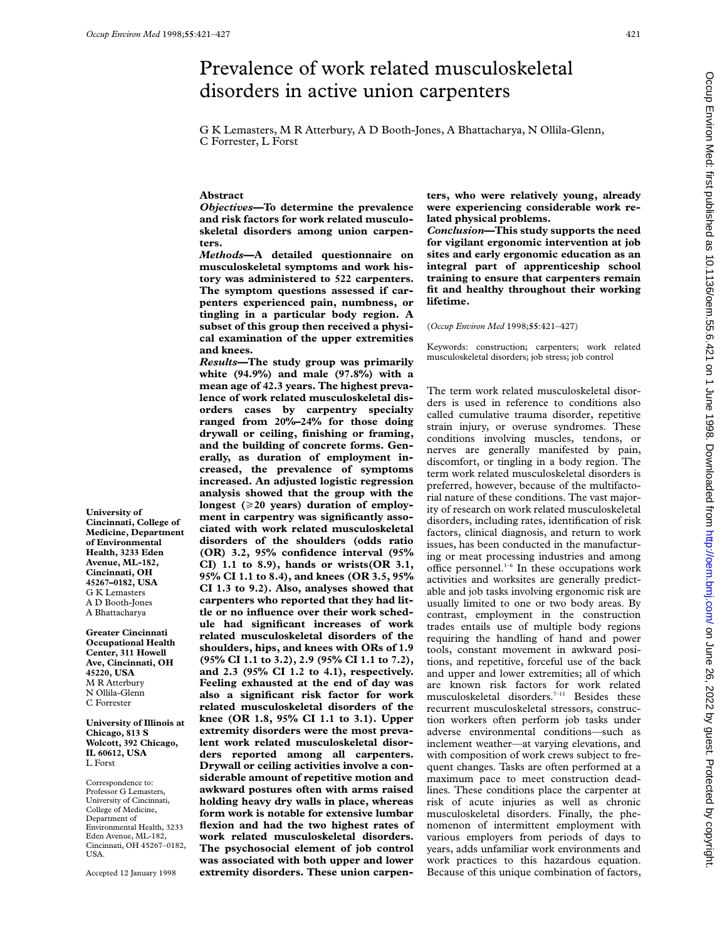# Prevalence of work related musculoskeletal disorders in active union carpenters

G K Lemasters, M R Atterbury, A D Booth-Jones, A Bhattacharya, N Ollila-Glenn, C Forrester, L Forst

# **Abstract**

*Objectives***—To determine the prevalence and risk factors for work related musculoskeletal disorders among union carpenters.**

*Methods***—A detailed questionnaire on musculoskeletal symptoms and work history was administered to 522 carpenters. The symptom questions assessed if carpenters experienced pain, numbness, or tingling in a particular body region. A subset of this group then received a physical examination of the upper extremities and knees.**

*Results***—The study group was primarily white (94.9%) and male (97.8%) with a mean age of 42.3 years. The highest prevalence of work related musculoskeletal disorders cases by carpentry specialty ranged from 20%–24% for those doing drywall or ceiling, finishing or framing, and the building of concrete forms. Generally, as duration of employment increased, the prevalence of symptoms increased. An adjusted logistic regression analysis showed that the group with the** longest  $(\geq 20$  years) duration of employ**ment in carpentry was significantly associated with work related musculoskeletal disorders of the shoulders (odds ratio (OR) 3.2, 95% confidence interval (95% CI) 1.1 to 8.9), hands or wrists(OR 3.1, 95% CI 1.1 to 8.4), and knees (OR 3.5, 95% CI 1.3 to 9.2). Also, analyses showed that carpenters who reported that they had little or no influence over their work schedule had significant increases of work related musculoskeletal disorders of the shoulders, hips, and knees with ORs of 1.9 (95% CI 1.1 to 3.2), 2.9 (95% CI 1.1 to 7.2), and 2.3 (95% CI 1.2 to 4.1), respectively. Feeling exhausted at the end of day was also a significant risk factor for work related musculoskeletal disorders of the knee (OR 1.8, 95% CI 1.1 to 3.1). Upper extremity disorders were the most prevalent work related musculoskeletal disorders reported among all carpenters. Drywall or ceiling activities involve a considerable amount of repetitive motion and awkward postures often with arms raised holding heavy dry walls in place, whereas form work is notable for extensive lumbar flexion and had the two highest rates of work related musculoskeletal disorders. The psychosocial element of job control was associated with both upper and lower extremity disorders. These union carpen-**

**ters, who were relatively young, already were experiencing considerable work related physical problems.**

*Conclusion***—This study supports the need for vigilant ergonomic intervention at job sites and early ergonomic education as an integral part of apprenticeship school training to ensure that carpenters remain fit and healthy throughout their working lifetime.**

(*Occup Environ Med* 1998;**55**:421–427)

Keywords: construction; carpenters; work related musculoskeletal disorders; job stress; job control

The term work related musculoskeletal disorders is used in reference to conditions also called cumulative trauma disorder, repetitive strain injury, or overuse syndromes. These conditions involving muscles, tendons, or nerves are generally manifested by pain, discomfort, or tingling in a body region. The term work related musculoskeletal disorders is preferred, however, because of the multifactorial nature of these conditions. The vast majority of research on work related musculoskeletal disorders, including rates, identification of risk factors, clinical diagnosis, and return to work issues, has been conducted in the manufacturing or meat processing industries and among office personnel.<sup>1–6</sup> In these occupations work activities and worksites are generally predictable and job tasks involving ergonomic risk are usually limited to one or two body areas. By contrast, employment in the construction trades entails use of multiple body regions requiring the handling of hand and power tools, constant movement in awkward positions, and repetitive, forceful use of the back and upper and lower extremities; all of which are known risk factors for work related musculoskeletal disorders.<sup>7-11</sup> Besides these recurrent musculoskeletal stressors, construction workers often perform job tasks under adverse environmental conditions—such as inclement weather—at varying elevations, and with composition of work crews subject to frequent changes. Tasks are often performed at a maximum pace to meet construction deadlines. These conditions place the carpenter at risk of acute injuries as well as chronic musculoskeletal disorders. Finally, the phenomenon of intermittent employment with various employers from periods of days to years, adds unfamiliar work environments and work practices to this hazardous equation. Because of this unique combination of factors,

**University of Cincinnati, College of Medicine, Department of Environmental Health, 3233 Eden Avenue, ML-182, Cincinnati, OH 45267–0182, USA** G K Lemasters A D Booth-Jones A Bhattacharya

**Greater Cincinnati Occupational Health Center, 311 Howell Ave, Cincinnati, OH 45220, USA** M R Atterbury N Ollila-Glenn C Forrester

**University of Illinois at Chicago, 813 S Wolcott, 392 Chicago, IL 60612, USA** L Forst

Correspondence to: Professor G Lemasters, University of Cincinnati, College of Medicine, Department of Environmental Health, 3233 Eden Avenue, ML-182, Cincinnati, OH 45267–0182, USA.

Accepted 12 January 1998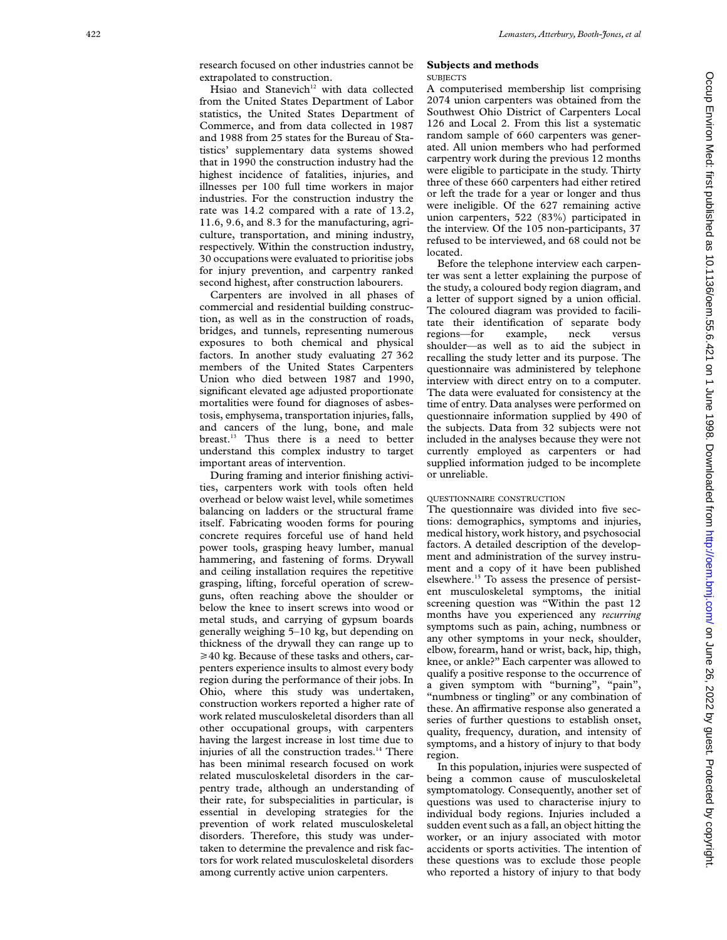research focused on other industries cannot be extrapolated to construction.

Hsiao and Stanevich<sup>12</sup> with data collected from the United States Department of Labor statistics, the United States Department of Commerce, and from data collected in 1987 and 1988 from 25 states for the Bureau of Statistics' supplementary data systems showed that in 1990 the construction industry had the highest incidence of fatalities, injuries, and illnesses per 100 full time workers in major industries. For the construction industry the rate was 14.2 compared with a rate of 13.2, 11.6, 9.6, and 8.3 for the manufacturing, agriculture, transportation, and mining industry, respectively. Within the construction industry, 30 occupations were evaluated to prioritise jobs for injury prevention, and carpentry ranked second highest, after construction labourers.

Carpenters are involved in all phases of commercial and residential building construction, as well as in the construction of roads, bridges, and tunnels, representing numerous exposures to both chemical and physical factors. In another study evaluating 27 362 members of the United States Carpenters Union who died between 1987 and 1990, significant elevated age adjusted proportionate mortalities were found for diagnoses of asbestosis, emphysema, transportation injuries, falls, and cancers of the lung, bone, and male breast.<sup>13</sup> Thus there is a need to better understand this complex industry to target important areas of intervention.

During framing and interior finishing activities, carpenters work with tools often held overhead or below waist level, while sometimes balancing on ladders or the structural frame itself. Fabricating wooden forms for pouring concrete requires forceful use of hand held power tools, grasping heavy lumber, manual hammering, and fastening of forms. Drywall and ceiling installation requires the repetitive grasping, lifting, forceful operation of screwguns, often reaching above the shoulder or below the knee to insert screws into wood or metal studs, and carrying of gypsum boards generally weighing 5–10 kg, but depending on thickness of the drywall they can range up to  $\geq$  40 kg. Because of these tasks and others, carpenters experience insults to almost every body region during the performance of their jobs. In Ohio, where this study was undertaken, construction workers reported a higher rate of work related musculoskeletal disorders than all other occupational groups, with carpenters having the largest increase in lost time due to injuries of all the construction trades.<sup>14</sup> There has been minimal research focused on work related musculoskeletal disorders in the carpentry trade, although an understanding of their rate, for subspecialities in particular, is essential in developing strategies for the prevention of work related musculoskeletal disorders. Therefore, this study was undertaken to determine the prevalence and risk factors for work related musculoskeletal disorders among currently active union carpenters.

#### **Subjects and methods** SUBJECTS

A computerised membership list comprising 2074 union carpenters was obtained from the Southwest Ohio District of Carpenters Local 126 and Local 2. From this list a systematic random sample of 660 carpenters was generated. All union members who had performed carpentry work during the previous 12 months were eligible to participate in the study. Thirty three of these 660 carpenters had either retired or left the trade for a year or longer and thus were ineligible. Of the 627 remaining active union carpenters, 522 (83%) participated in the interview. Of the 105 non-participants, 37 refused to be interviewed, and 68 could not be located.

Before the telephone interview each carpenter was sent a letter explaining the purpose of the study, a coloured body region diagram, and a letter of support signed by a union official. The coloured diagram was provided to facilitate their identification of separate body regions—for example, neck versus shoulder—as well as to aid the subject in recalling the study letter and its purpose. The questionnaire was administered by telephone interview with direct entry on to a computer. The data were evaluated for consistency at the time of entry. Data analyses were performed on questionnaire information supplied by 490 of the subjects. Data from 32 subjects were not included in the analyses because they were not currently employed as carpenters or had supplied information judged to be incomplete or unreliable.

## QUESTIONNAIRE CONSTRUCTION

The questionnaire was divided into five sections: demographics, symptoms and injuries, medical history, work history, and psychosocial factors. A detailed description of the development and administration of the survey instrument and a copy of it have been published elsewhere.15 To assess the presence of persistent musculoskeletal symptoms, the initial screening question was "Within the past 12 months have you experienced any *recurring* symptoms such as pain, aching, numbness or any other symptoms in your neck, shoulder, elbow, forearm, hand or wrist, back, hip, thigh, knee, or ankle?" Each carpenter was allowed to qualify a positive response to the occurrence of a given symptom with "burning", "pain", "numbness or tingling" or any combination of these. An affirmative response also generated a series of further questions to establish onset, quality, frequency, duration, and intensity of symptoms, and a history of injury to that body region.

In this population, injuries were suspected of being a common cause of musculoskeletal symptomatology. Consequently, another set of questions was used to characterise injury to individual body regions. Injuries included a sudden event such as a fall, an object hitting the worker, or an injury associated with motor accidents or sports activities. The intention of these questions was to exclude those people who reported a history of injury to that body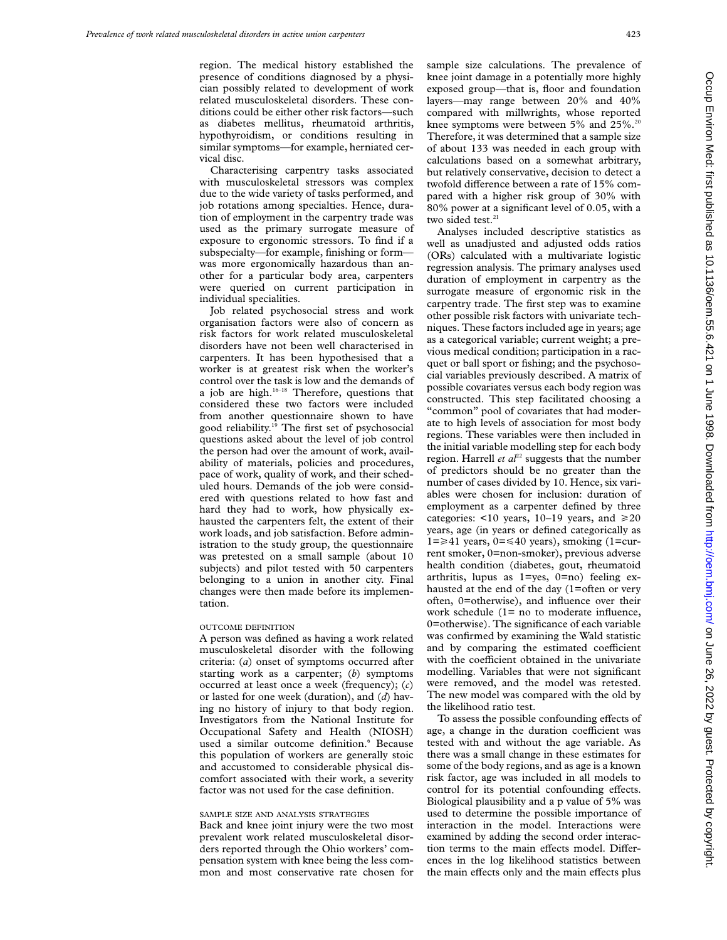region. The medical history established the presence of conditions diagnosed by a physician possibly related to development of work related musculoskeletal disorders. These conditions could be either other risk factors—such as diabetes mellitus, rheumatoid arthritis, hypothyroidism, or conditions resulting in similar symptoms—for example, herniated cervical disc.

Characterising carpentry tasks associated with musculoskeletal stressors was complex due to the wide variety of tasks performed, and job rotations among specialties. Hence, duration of employment in the carpentry trade was used as the primary surrogate measure of exposure to ergonomic stressors. To find if a subspecialty—for example, finishing or form was more ergonomically hazardous than another for a particular body area, carpenters were queried on current participation in individual specialities.

Job related psychosocial stress and work organisation factors were also of concern as risk factors for work related musculoskeletal disorders have not been well characterised in carpenters. It has been hypothesised that a worker is at greatest risk when the worker's control over the task is low and the demands of a job are high.16–18 Therefore, questions that considered these two factors were included from another questionnaire shown to have good reliability.19 The first set of psychosocial questions asked about the level of job control the person had over the amount of work, availability of materials, policies and procedures, pace of work, quality of work, and their scheduled hours. Demands of the job were considered with questions related to how fast and hard they had to work, how physically exhausted the carpenters felt, the extent of their work loads, and job satisfaction. Before administration to the study group, the questionnaire was pretested on a small sample (about 10 subjects) and pilot tested with 50 carpenters belonging to a union in another city. Final changes were then made before its implementation.

# OUTCOME DEFINITION

A person was defined as having a work related musculoskeletal disorder with the following criteria: (*a*) onset of symptoms occurred after starting work as a carpenter; (*b*) symptoms occurred at least once a week (frequency); (*c*) or lasted for one week (duration), and (*d*) having no history of injury to that body region. Investigators from the National Institute for Occupational Safety and Health (NIOSH) used a similar outcome definition.<sup>6</sup> Because this population of workers are generally stoic and accustomed to considerable physical discomfort associated with their work, a severity factor was not used for the case definition.

#### SAMPLE SIZE AND ANALYSIS STRATEGIES

Back and knee joint injury were the two most prevalent work related musculoskeletal disorders reported through the Ohio workers' compensation system with knee being the less common and most conservative rate chosen for sample size calculations. The prevalence of knee joint damage in a potentially more highly exposed group—that is, floor and foundation layers—may range between 20% and 40% compared with millwrights, whose reported knee symptoms were between 5% and  $25\%$ .<sup>26</sup> Therefore, it was determined that a sample size of about 133 was needed in each group with calculations based on a somewhat arbitrary, but relatively conservative, decision to detect a twofold difference between a rate of 15% compared with a higher risk group of 30% with 80% power at a significant level of 0.05, with a two sided test.<sup>21</sup>

Analyses included descriptive statistics as well as unadjusted and adjusted odds ratios (ORs) calculated with a multivariate logistic regression analysis. The primary analyses used duration of employment in carpentry as the surrogate measure of ergonomic risk in the carpentry trade. The first step was to examine other possible risk factors with univariate techniques. These factors included age in years; age as a categorical variable; current weight; a previous medical condition; participation in a racquet or ball sport or fishing; and the psychosocial variables previously described. A matrix of possible covariates versus each body region was constructed. This step facilitated choosing a "common" pool of covariates that had moderate to high levels of association for most body regions. These variables were then included in the initial variable modelling step for each body region. Harrell *et al*<sup>22</sup> suggests that the number of predictors should be no greater than the number of cases divided by 10. Hence, six variables were chosen for inclusion: duration of employment as a carpenter defined by three categories:  $<$ 10 years, 10–19 years, and  $\geq$ 20 years, age (in years or defined categorically as  $1 = \ge 41$  years,  $0 = \le 40$  years), smoking (1=current smoker, 0=non-smoker), previous adverse health condition (diabetes, gout, rheumatoid arthritis, lupus as 1=yes, 0=no) feeling exhausted at the end of the day (1=often or very often, 0=otherwise), and influence over their work schedule (1= no to moderate influence, 0=otherwise). The significance of each variable was confirmed by examining the Wald statistic and by comparing the estimated coefficient with the coefficient obtained in the univariate modelling. Variables that were not significant were removed, and the model was retested. The new model was compared with the old by the likelihood ratio test.

To assess the possible confounding effects of age, a change in the duration coefficient was tested with and without the age variable. As there was a small change in these estimates for some of the body regions, and as age is a known risk factor, age was included in all models to control for its potential confounding effects. Biological plausibility and a p value of 5% was used to determine the possible importance of interaction in the model. Interactions were examined by adding the second order interaction terms to the main effects model. Differences in the log likelihood statistics between the main effects only and the main effects plus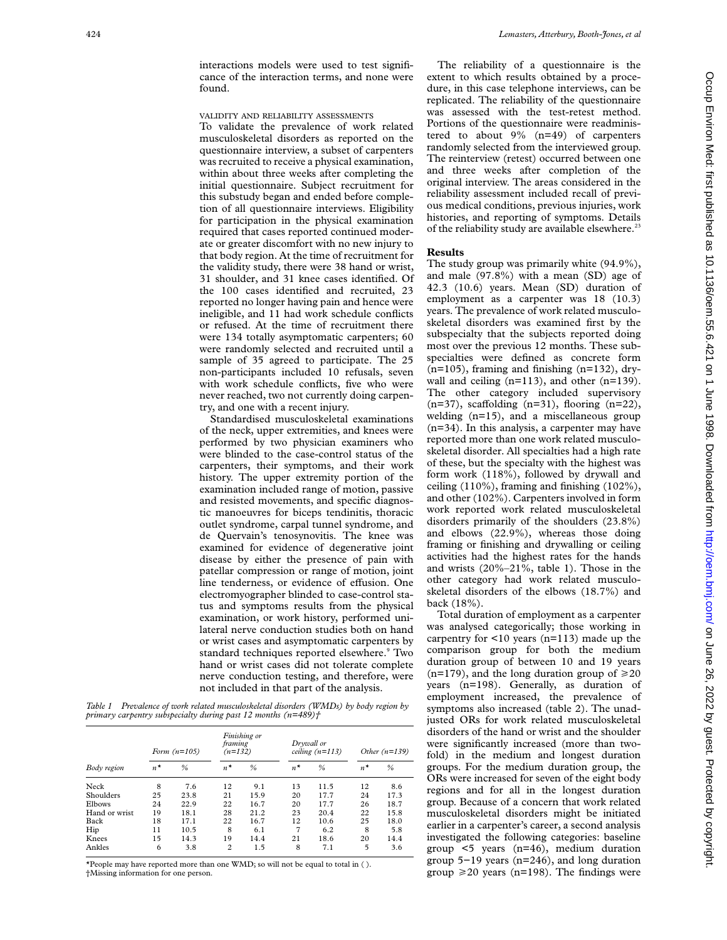# VALIDITY AND RELIABILITY ASSESSMENTS

To validate the prevalence of work related musculoskeletal disorders as reported on the questionnaire interview, a subset of carpenters was recruited to receive a physical examination, within about three weeks after completing the initial questionnaire. Subject recruitment for this substudy began and ended before completion of all questionnaire interviews. Eligibility for participation in the physical examination required that cases reported continued moderate or greater discomfort with no new injury to that body region. At the time of recruitment for the validity study, there were 38 hand or wrist, 31 shoulder, and 31 knee cases identified. Of the 100 cases identified and recruited, 23 reported no longer having pain and hence were ineligible, and 11 had work schedule conflicts or refused. At the time of recruitment there were 134 totally asymptomatic carpenters; 60 were randomly selected and recruited until a sample of 35 agreed to participate. The 25 non-participants included 10 refusals, seven with work schedule conflicts, five who were never reached, two not currently doing carpentry, and one with a recent injury.

Standardised musculoskeletal examinations of the neck, upper extremities, and knees were performed by two physician examiners who were blinded to the case-control status of the carpenters, their symptoms, and their work history. The upper extremity portion of the examination included range of motion, passive and resisted movements, and specific diagnostic manoeuvres for biceps tendinitis, thoracic outlet syndrome, carpal tunnel syndrome, and de Quervain's tenosynovitis. The knee was examined for evidence of degenerative joint disease by either the presence of pain with patellar compression or range of motion, joint line tenderness, or evidence of effusion. One electromyographer blinded to case-control status and symptoms results from the physical examination, or work history, performed unilateral nerve conduction studies both on hand or wrist cases and asymptomatic carpenters by standard techniques reported elsewhere.<sup>9</sup> Two hand or wrist cases did not tolerate complete nerve conduction testing, and therefore, were not included in that part of the analysis.

*Table 1 Prevalence of work related musculoskeletal disorders (WMDs) by body region by primary carpentry subspecialty during past 12 months (n=489)†*

|               | Form $(n=105)$ |      | Finishing or<br>framing<br>$(n=132)$ |      | Drywall or<br>ceiling $(n=113)$ |      | Other $(n=139)$ |      |
|---------------|----------------|------|--------------------------------------|------|---------------------------------|------|-----------------|------|
| Body region   | $n^*$          | %    | $n^*$                                | %    | $n^*$                           | %    | $n^*$           | $\%$ |
| Neck          | 8              | 7.6  | 12                                   | 9.1  | 13                              | 11.5 | 12              | 8.6  |
| Shoulders     | 25             | 23.8 | 21                                   | 15.9 | 20                              | 17.7 | 24              | 17.3 |
| Elbows        | 24             | 22.9 | 22                                   | 16.7 | 20                              | 17.7 | 26              | 18.7 |
| Hand or wrist | 19             | 18.1 | 28                                   | 21.2 | 23                              | 20.4 | 22              | 15.8 |
| Back          | 18             | 17.1 | 22                                   | 16.7 | 12                              | 10.6 | 25              | 18.0 |
| Hip           | 11             | 10.5 | 8                                    | 6.1  | 7                               | 6.2  | 8               | 5.8  |
| Knees         | 15             | 14.3 | 19                                   | 14.4 | 21                              | 18.6 | 20              | 14.4 |
| Ankles        | 6              | 3.8  | $\overline{c}$                       | 1.5  | 8                               | 7.1  | 5               | 3.6  |

\*People may have reported more than one WMD; so will not be equal to total in ( ). †Missing information for one person.

The reliability of a questionnaire is the extent to which results obtained by a procedure, in this case telephone interviews, can be replicated. The reliability of the questionnaire was assessed with the test-retest method. Portions of the questionnaire were readministered to about  $9\%$  (n=49) of carpenters randomly selected from the interviewed group. The reinterview (retest) occurred between one and three weeks after completion of the original interview. The areas considered in the reliability assessment included recall of previous medical conditions, previous injuries, work histories, and reporting of symptoms. Details of the reliability study are available elsewhere.<sup>23</sup>

## **Results**

The study group was primarily white (94.9%), and male (97.8%) with a mean (SD) age of 42.3 (10.6) years. Mean (SD) duration of employment as a carpenter was 18 (10.3) years. The prevalence of work related musculoskeletal disorders was examined first by the subspecialty that the subjects reported doing most over the previous 12 months. These subspecialties were defined as concrete form  $(n=105)$ , framing and finishing  $(n=132)$ , drywall and ceiling  $(n=113)$ , and other  $(n=139)$ . The other category included supervisory  $(n=37)$ , scaffolding  $(n=31)$ , flooring  $(n=22)$ , welding (n=15), and a miscellaneous group (n=34). In this analysis, a carpenter may have reported more than one work related musculoskeletal disorder. All specialties had a high rate of these, but the specialty with the highest was form work (118%), followed by drywall and ceiling  $(110\%)$ , framing and finishing  $(102\%)$ , and other (102%). Carpenters involved in form work reported work related musculoskeletal disorders primarily of the shoulders (23.8%) and elbows (22.9%), whereas those doing framing or finishing and drywalling or ceiling activities had the highest rates for the hands and wrists (20%–21%, table 1). Those in the other category had work related musculoskeletal disorders of the elbows (18.7%) and back (18%).

Total duration of employment as a carpenter was analysed categorically; those working in carpentry for <10 years (n=113) made up the comparison group for both the medium duration group of between 10 and 19 years  $(n=179)$ , and the long duration group of  $\geq 20$ years (n=198). Generally, as duration of employment increased, the prevalence of symptoms also increased (table 2). The unadjusted ORs for work related musculoskeletal disorders of the hand or wrist and the shoulder were significantly increased (more than twofold) in the medium and longest duration groups. For the medium duration group, the ORs were increased for seven of the eight body regions and for all in the longest duration group. Because of a concern that work related musculoskeletal disorders might be initiated earlier in a carpenter's career, a second analysis investigated the following categories: baseline group <5 years (n=46), medium duration group 5−19 years (n=246), and long duration group  $\geq$  20 years (n=198). The findings were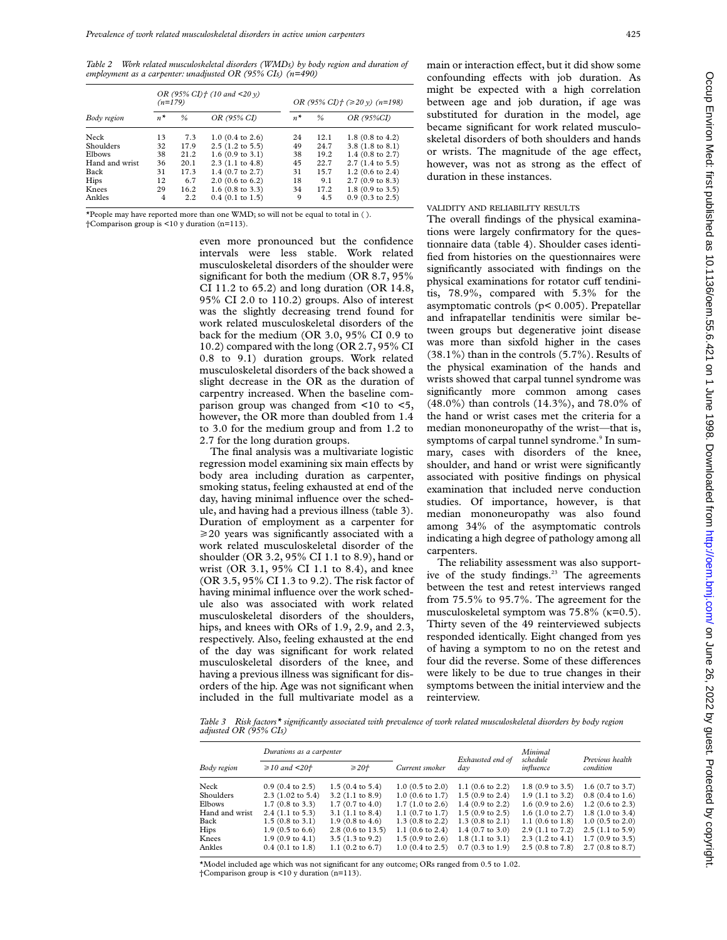*Table 2 Work related musculoskeletal disorders (WMDs) by body region and duration of employment as a carpenter: unadjusted OR (95% CIs) (n=490)*

|                | $(n=179)$ |      | OR (95% CI) + (10 and <20 y) | OR (95% CI) $\uparrow$ ( $\geq 20$ y) (n=198) |      |                            |  |
|----------------|-----------|------|------------------------------|-----------------------------------------------|------|----------------------------|--|
| Body region    | $n^*$     | %    | OR (95% CI)                  | $n^*$                                         | $\%$ | OR (95%CI)                 |  |
| Neck           | 13        | 7.3  | $1.0$ (0.4 to 2.6)           | 24                                            | 12.1 | $1.8(0.8 \text{ to } 4.2)$ |  |
| Shoulders      | 32        | 17.9 | $2.5$ (1.2 to 5.5)           | 49                                            | 24.7 | $3.8(1.8 \text{ to } 8.1)$ |  |
| <b>Elbows</b>  | 38        | 21.2 | $1.6(0.9 \text{ to } 3.1)$   | 38                                            | 19.2 | $1.4$ (0.8 to 2.7)         |  |
| Hand and wrist | 36        | 20.1 | $2.3$ (1.1 to 4.8)           | 45                                            | 22.7 | $2.7(1.4 \text{ to } 5.5)$ |  |
| Back           | 31        | 17.3 | $1.4$ (0.7 to 2.7)           | 31                                            | 15.7 | $1.2$ (0.6 to 2.4)         |  |
| Hips           | 12        | 6.7  | $2.0$ (0.6 to 6.2)           | 18                                            | 9.1  | $2.7(0.9 \text{ to } 8.3)$ |  |
| Knees          | 29        | 16.2 | 1.6 $(0.8 \text{ to } 3.3)$  | 34                                            | 17.2 | $1.8(0.9 \text{ to } 3.5)$ |  |
| Ankles         | 4         | 2.2  | $0.4$ (0.1 to 1.5)           | 9                                             | 4.5  | $0.9$ $(0.3$ to $2.5)$     |  |

\*People may have reported more than one WMD; so will not be equal to total in ( ). †Comparison group is <10 y duration (n=113).

> even more pronounced but the confidence intervals were less stable. Work related musculoskeletal disorders of the shoulder were significant for both the medium (OR 8.7, 95% CI 11.2 to 65.2) and long duration (OR 14.8, 95% CI 2.0 to 110.2) groups. Also of interest was the slightly decreasing trend found for work related musculoskeletal disorders of the back for the medium (OR 3.0, 95% CI 0.9 to 10.2) compared with the long (OR 2.7, 95% CI 0.8 to 9.1) duration groups. Work related musculoskeletal disorders of the back showed a slight decrease in the OR as the duration of carpentry increased. When the baseline comparison group was changed from <10 to <5, however, the OR more than doubled from 1.4 to 3.0 for the medium group and from 1.2 to 2.7 for the long duration groups.

> The final analysis was a multivariate logistic regression model examining six main effects by body area including duration as carpenter, smoking status, feeling exhausted at end of the day, having minimal influence over the schedule, and having had a previous illness (table 3). Duration of employment as a carpenter for  $\geq$ 20 years was significantly associated with a work related musculoskeletal disorder of the shoulder (OR 3.2, 95% CI 1.1 to 8.9), hand or wrist (OR 3.1, 95% CI 1.1 to 8.4), and knee (OR 3.5, 95% CI 1.3 to 9.2). The risk factor of having minimal influence over the work schedule also was associated with work related musculoskeletal disorders of the shoulders, hips, and knees with ORs of 1.9, 2.9, and 2.3, respectively. Also, feeling exhausted at the end of the day was significant for work related musculoskeletal disorders of the knee, and having a previous illness was significant for disorders of the hip. Age was not significant when included in the full multivariate model as a

main or interaction effect, but it did show some confounding effects with job duration. As might be expected with a high correlation between age and job duration, if age was substituted for duration in the model, age became significant for work related musculoskeletal disorders of both shoulders and hands or wrists. The magnitude of the age effect, however, was not as strong as the effect of duration in these instances.

## VALIDITY AND RELIABILITY RESULTS

The overall findings of the physical examinations were largely confirmatory for the questionnaire data (table 4). Shoulder cases identified from histories on the questionnaires were significantly associated with findings on the physical examinations for rotator cuff tendinitis, 78.9%, compared with 5.3% for the asymptomatic controls (p< 0.005). Prepatellar and infrapatellar tendinitis were similar between groups but degenerative joint disease was more than sixfold higher in the cases  $(38.1\%)$  than in the controls  $(5.7\%)$ . Results of the physical examination of the hands and wrists showed that carpal tunnel syndrome was significantly more common among cases (48.0%) than controls (14.3%), and 78.0% of the hand or wrist cases met the criteria for a median mononeuropathy of the wrist—that is, symptoms of carpal tunnel syndrome.<sup>9</sup> In summary, cases with disorders of the knee, shoulder, and hand or wrist were significantly associated with positive findings on physical examination that included nerve conduction studies. Of importance, however, is that median mononeuropathy was also found among 34% of the asymptomatic controls indicating a high degree of pathology among all carpenters.

The reliability assessment was also supportive of the study findings.<sup>23</sup> The agreements between the test and retest interviews ranged from 75.5% to 95.7%. The agreement for the musculoskeletal symptom was  $75.8\%$  ( $\kappa$ =0.5). Thirty seven of the 49 reinterviewed subjects responded identically. Eight changed from yes of having a symptom to no on the retest and four did the reverse. Some of these differences were likely to be due to true changes in their symptoms between the initial interview and the reinterview.

*Table 3 Risk factors\* significantly associated with prevalence of work related musculoskeletal disorders by body region adjusted OR (95% CIs)*

|                | Durations as a carpenter   |                             |                             | Exhausted end of            | Minimal<br>schedule         | Previous health            |
|----------------|----------------------------|-----------------------------|-----------------------------|-----------------------------|-----------------------------|----------------------------|
| Body region    | $\geq 10$ and $\leq 20$ +  | $\geqslant$ 20 <sup>+</sup> | Current smoker              | day                         | influence                   | condition                  |
| Neck           | $0.9(0.4 \text{ to } 2.5)$ | $1.5(0.4 \text{ to } 5.4)$  | $1.0(0.5 \text{ to } 2.0)$  | 1.1 $(0.6 \text{ to } 2.2)$ | $1.8(0.9 \text{ to } 3.5)$  | $1.6$ (0.7 to 3.7)         |
| Shoulders      | $2.3$ (1.02 to 5.4)        | $3.2$ (1.1 to 8.9)          | $1.0$ (0.6 to 1.7)          | $1.5(0.9 \text{ to } 2.4)$  | $1.9(1.1 \text{ to } 3.2)$  | $0.8(0.4 \text{ to } 1.6)$ |
| Elbows         | $1.7(0.8 \text{ to } 3.3)$ | $1.7(0.7 \text{ to } 4.0)$  | $1.7(1.0 \text{ to } 2.6)$  | $1.4(0.9 \text{ to } 2.2)$  | $1.6(0.9 \text{ to } 2.6)$  | $1.2(0.6 \text{ to } 2.3)$ |
| Hand and wrist | $2.4$ (1.1 to 5.3)         | $3.1(1.1 \text{ to } 8.4)$  | 1.1 $(0.7 \text{ to } 1.7)$ | $1.5(0.9 \text{ to } 2.5)$  | $1.6(1.0 \text{ to } 2.7)$  | $1.8(1.0 \text{ to } 3.4)$ |
| Back           | $1.5(0.8 \text{ to } 3.1)$ | $1.9(0.8 \text{ to } 4.6)$  | $1.3(0.8 \text{ to } 2.2)$  | $1.3(0.8 \text{ to } 2.1)$  | 1.1 $(0.6 \text{ to } 1.8)$ | $1.0$ (0.5 to 2.0)         |
| Hips           | $1.9(0.5 \text{ to } 6.6)$ | $2.8$ (0.6 to 13.5)         | 1.1 $(0.6 \text{ to } 2.4)$ | $1.4(0.7 \text{ to } 3.0)$  | $2.9(1.1 \text{ to } 7.2)$  | $2.5(1.1 \text{ to } 5.9)$ |
| Knees          | $1.9(0.9 \text{ to } 4.1)$ | $3.5(1.3 \text{ to } 9.2)$  | $1.5(0.9 \text{ to } 2.6)$  | $1.8(1.1 \text{ to } 3.1)$  | $2.3(1.2 \text{ to } 4.1)$  | $1.7(0.9 \text{ to } 3.5)$ |
| Ankles         | $0.4$ (0.1 to 1.8)         | 1.1 $(0.2 \text{ to } 6.7)$ | $1.0(0.4 \text{ to } 2.5)$  | $0.7(0.3 \text{ to } 1.9)$  | $2.5(0.8 \text{ to } 7.8)$  | $2.7(0.8 \text{ to } 8.7)$ |

\*Model included age which was not significant for any outcome; ORs ranged from 0.5 to 1.02. †Comparison group is <10 y duration (n=113).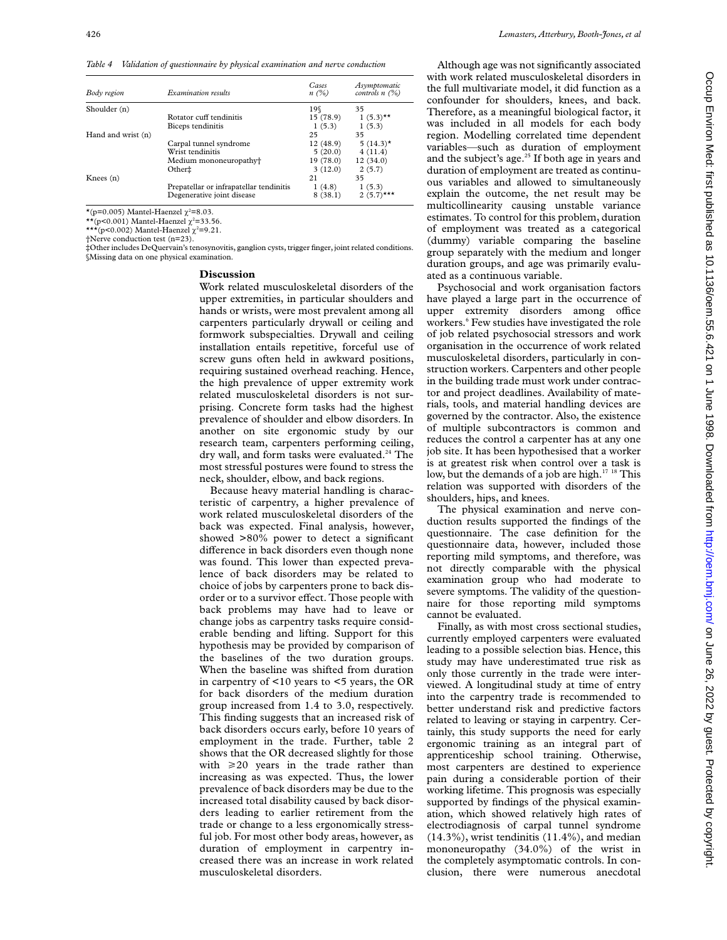*Table 4 Validation of questionnaire by physical examination and nerve conduction*

| Body region        | Examination results                     | Cases<br>$n(\%)$ | Asymptomatic<br>controls $n$ (%) |
|--------------------|-----------------------------------------|------------------|----------------------------------|
| Shoulder (n)       |                                         | 196              | 35                               |
|                    | Rotator cuff tendinitis                 | 15 (78.9)        | $1(5.3)**$                       |
|                    | Biceps tendinitis                       | 1(5.3)           | 1(5.3)                           |
| Hand and wrist (n) |                                         | 25               | 35                               |
|                    | Carpal tunnel syndrome                  | 12(48.9)         | $5(14.3)$ *                      |
|                    | Wrist tendinitis                        | 5(20.0)          | 4(11.4)                          |
|                    | Medium mononeuropathy <sup>+</sup>      | 19(78.0)         | 12(34.0)                         |
|                    | Other±                                  | 3(12.0)          | 2(5.7)                           |
| Knees $(n)$        |                                         | 21               | 35                               |
|                    | Prepatellar or infrapatellar tendinitis | 1(4.8)           | 1(5.3)                           |
|                    | Degenerative joint disease              | 8(38.1)          | $2(5.7)$ ***                     |

\*(p=0.005) Mantel-Haenzel  $\chi^2$ =8.03.

\*\*(p<0.001) Mantel-Haenzel  $\chi^2$ =33.56.<br>\*\*\*(p<0.002) Mantel-Haenzel  $\chi^2$ =9.21.

†Nerve conduction test (n=23).

‡Other includes DeQuervain's tenosynovitis, ganglion cysts, trigger finger, joint related conditions. §Missing data on one physical examination.

## **Discussion**

Work related musculoskeletal disorders of the upper extremities, in particular shoulders and hands or wrists, were most prevalent among all carpenters particularly drywall or ceiling and formwork subspecialties. Drywall and ceiling installation entails repetitive, forceful use of screw guns often held in awkward positions, requiring sustained overhead reaching. Hence, the high prevalence of upper extremity work related musculoskeletal disorders is not surprising. Concrete form tasks had the highest prevalence of shoulder and elbow disorders. In another on site ergonomic study by our research team, carpenters performing ceiling, dry wall, and form tasks were evaluated.<sup>24</sup> The most stressful postures were found to stress the neck, shoulder, elbow, and back regions.

Because heavy material handling is characteristic of carpentry, a higher prevalence of work related musculoskeletal disorders of the back was expected. Final analysis, however, showed >80% power to detect a significant difference in back disorders even though none was found. This lower than expected prevalence of back disorders may be related to choice of jobs by carpenters prone to back disorder or to a survivor effect. Those people with back problems may have had to leave or change jobs as carpentry tasks require considerable bending and lifting. Support for this hypothesis may be provided by comparison of the baselines of the two duration groups. When the baseline was shifted from duration in carpentry of <10 years to <5 years, the OR for back disorders of the medium duration group increased from 1.4 to 3.0, respectively. This finding suggests that an increased risk of back disorders occurs early, before 10 years of employment in the trade. Further, table 2 shows that the OR decreased slightly for those with  $\geq 20$  years in the trade rather than increasing as was expected. Thus, the lower prevalence of back disorders may be due to the increased total disability caused by back disorders leading to earlier retirement from the trade or change to a less ergonomically stressful job. For most other body areas, however, as duration of employment in carpentry increased there was an increase in work related musculoskeletal disorders.

Occup Environ Med: first published as 10.11136/oem 55.6.421 on 1 June 1998. Downloaded from http://oem.bmj.com/on June 26, 2022 by guest. Protected by copyright On June 26, 2022 by guest. Protected by copyright. Published as 10.114. http://oem.bad. http://oem.bu/ Our Lips://oem.bu/ Our Deviron Med: first published as 10.1136/oem.56.7.136/oem.56.7.136/oem.bu/ Our Deviro 10.114. Jun

The physical examination and nerve conduction results supported the findings of the questionnaire. The case definition for the questionnaire data, however, included those reporting mild symptoms, and therefore, was not directly comparable with the physical examination group who had moderate to severe symptoms. The validity of the questionnaire for those reporting mild symptoms cannot be evaluated.

ated as a continuous variable.

shoulders, hips, and knees.

Finally, as with most cross sectional studies, currently employed carpenters were evaluated leading to a possible selection bias. Hence, this study may have underestimated true risk as only those currently in the trade were interviewed. A longitudinal study at time of entry into the carpentry trade is recommended to better understand risk and predictive factors related to leaving or staying in carpentry. Certainly, this study supports the need for early ergonomic training as an integral part of apprenticeship school training. Otherwise, most carpenters are destined to experience pain during a considerable portion of their working lifetime. This prognosis was especially supported by findings of the physical examination, which showed relatively high rates of electrodiagnosis of carpal tunnel syndrome  $(14.3\%)$ , wrist tendinitis  $(11.4\%)$ , and median mononeuropathy (34.0%) of the wrist in the completely asymptomatic controls. In conclusion, there were numerous anecdotal